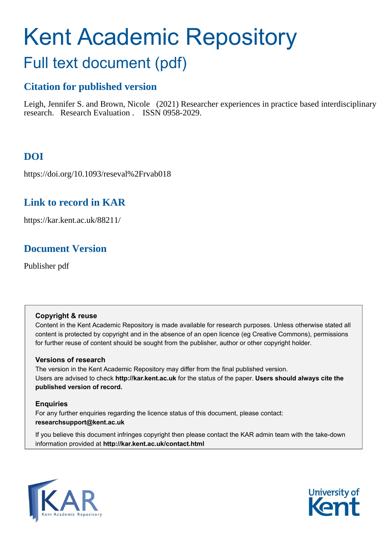# Kent Academic Repository

## Full text document (pdf)

## **Citation for published version**

Leigh, Jennifer S. and Brown, Nicole (2021) Researcher experiences in practice based interdisciplinary research. Research Evaluation . ISSN 0958-2029.

## **DOI**

https://doi.org/10.1093/reseval%2Frvab018

## **Link to record in KAR**

https://kar.kent.ac.uk/88211/

## **Document Version**

Publisher pdf

## **Copyright & reuse**

Content in the Kent Academic Repository is made available for research purposes. Unless otherwise stated all content is protected by copyright and in the absence of an open licence (eg Creative Commons), permissions for further reuse of content should be sought from the publisher, author or other copyright holder.

## **Versions of research**

The version in the Kent Academic Repository may differ from the final published version. Users are advised to check **http://kar.kent.ac.uk** for the status of the paper. **Users should always cite the published version of record.**

## **Enquiries**

For any further enquiries regarding the licence status of this document, please contact: **researchsupport@kent.ac.uk**

If you believe this document infringes copyright then please contact the KAR admin team with the take-down information provided at **http://kar.kent.ac.uk/contact.html**



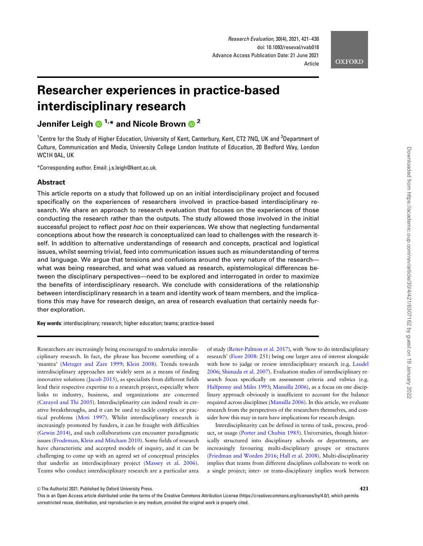**OXFORD** 

## Researcher experiences in practice-based interdisciplinary research

Jennifer Leigh  $\bigcirc^{1,*}$  and Nicole Brown  $\bigcirc^{2}$ 

<sup>1</sup>Centre for the Study of Higher Education, University of Kent, Canterbury, Kent, CT2 7NQ, UK and <sup>2</sup>Department of Culture, Communication and Media, University College London Institute of Education, 20 Bedford Way, London WC1H 0AL, UK

\*Corresponding author. Email: j.s.leigh@kent.ac.uk.

#### Abstract

This article reports on a study that followed up on an initial interdisciplinary project and focused specifically on the experiences of researchers involved in practice-based interdisciplinary research. We share an approach to research evaluation that focuses on the experiences of those conducting the research rather than the outputs. The study allowed those involved in the initial successful project to reflect *post hoc* on their experiences. We show that neglecting fundamental conceptions about how the research is conceptualized can lead to challenges with the research itself. In addition to alternative understandings of research and concepts, practical and logistical issues, whilst seeming trivial, feed into communication issues such as misunderstanding of terms and language. We argue that tensions and confusions around the very nature of the research what was being researched, and what was valued as research, epistemological differences between the disciplinary perspectives—need to be explored and interrogated in order to maximize the benefits of interdisciplinary research. We conclude with considerations of the relationship between interdisciplinary research in a team and identity work of team members, and the implications this may have for research design, an area of research evaluation that certainly needs further exploration.

Key words: interdisciplinary; research; higher education; teams; practice-based

Researchers are increasingly being encouraged to undertake interdisciplinary research. In fact, the phrase has become something of a 'mantra' (Metzger and Zare 1999; Klein 2008). Trends towards interdisciplinary approaches are widely seen as a means of finding innovative solutions (Jacob 2015), as specialists from different fields lend their respective expertise to a research project, especially where links to industry, business, and organizations are concerned (Carayol and Thi 2005). Interdisciplinarity can indeed result in creative breakthroughs, and it can be used to tackle complex or practical problems (Moti 1997). Whilst interdisciplinary research is increasingly promoted by funders, it can be fraught with difficulties (Gewin 2014), and such collaborations can encounter paradigmatic issues (Frodeman, Klein and Mitcham 2010). Some fields of research have characteristic and accepted models of inquiry, and it can be challenging to come up with an agreed set of conceptual principles that underlie an interdisciplinary project (Massey et al. 2006). Teams who conduct interdisciplinary research are a particular area

of study (Reiter-Palmon et al. 2017), with 'how to do interdisciplinary research' (Fiore 2008: 251) being one larger area of interest alongside with how to judge or review interdisciplinary research (e.g. Laudel 2006; Shimada et al. 2007). Evaluation studies of interdisciplinary research focus specifically on assessment criteria and rubrics (e.g. Halfpenny and Miles 1993; Mansilla 2006), as a focus on one disciplinary approach obviously is insufficient to account for the balance required across disciplines (Mansilla 2006). In this article, we evaluate research from the perspectives of the researchers themselves, and consider how this may in turn have implications for research design.

Interdisciplinarity can be defined in terms of task, process, product, or usage (Porter and Chubin 1985). Universities, though historically structured into disciplinary schools or departments, are increasingly favouring multi-disciplinary groups or structures (Friedman and Worden 2016; Hall et al. 2008). Multi-disciplinarity implies that teams from different disciplines collaborate to work on a single project; inter- or trans-disciplinary implies work between

 $\heartsuit$ The Author(s) 2021. Published by Oxford University Press. 421

This is an Open Access article distributed under the terms of the Creative Commons Attribution License (https://creativecommons.org/licenses/by/4.0/), which permits unrestricted reuse, distribution, and reproduction in any medium, provided the original work is properly cited.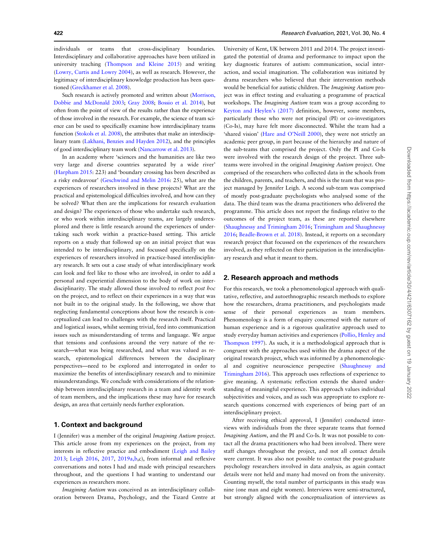422 Research Evaluation, 2021, Vol. 30, No. 4

individuals or teams that cross-disciplinary boundaries. Interdisciplinary and collaborative approaches have been utilized in university teaching (Thompson and Kleine 2015) and writing (Lowry, Curtis and Lowry 2004), as well as research. However, the legitimacy of interdisciplinary knowledge production has been questioned (Greckhamer et al. 2008).

Such research is actively promoted and written about (Morrison, Dobbie and McDonald 2003; Gray 2008; Bossio et al. 2014), but often from the point of view of the results rather than the experience of those involved in the research. For example, the science of team science can be used to specifically examine how interdisciplinary teams function (Stokols et al. 2008), the attributes that make an interdisciplinary team (Lakhani, Benzies and Hayden 2012), and the principles of good interdisciplinary team work (Nancarrow et al. 2013).

In an academy where 'sciences and the humanities are like two very large and diverse countries separated by a wide river' (Harpham 2015: 223) and 'boundary crossing has been described as a risky endeavour' (Geschwind and Melin 2016: 25), what are the experiences of researchers involved in these projects? What are the practical and epistemological difficulties involved, and how can they be solved? What then are the implications for research evaluation and design? The experiences of those who undertake such research, or who work within interdisciplinary teams, are largely underexplored and there is little research around the experiences of undertaking such work within a practice-based setting. This article reports on a study that followed up on an initial project that was intended to be interdisciplinary, and focussed specifically on the experiences of researchers involved in practice-based interdisciplinary research. It sets out a case study of what interdisciplinary work can look and feel like to those who are involved, in order to add a personal and experiential dimension to the body of work on interdisciplinarity. The study allowed those involved to reflect post hoc on the project, and to reflect on their experiences in a way that was not built in to the original study. In the following, we show that neglecting fundamental conceptions about how the research is conceptualized can lead to challenges with the research itself. Practical and logistical issues, whilst seeming trivial, feed into communication issues such as misunderstanding of terms and language. We argue that tensions and confusions around the very nature of the research—what was being researched, and what was valued as research, epistemological differences between the disciplinary perspectives—need to be explored and interrogated in order to maximize the benefits of interdisciplinary research and to minimize misunderstandings. We conclude with considerations of the relationship between interdisciplinary research in a team and identity work of team members, and the implications these may have for research design, an area that certainly needs further exploration.

#### 1. Context and background

I (Jennifer) was a member of the original Imagining Autism project. This article arose from my experiences on the project, from my interests in reflective practice and embodiment (Leigh and Bailey 2013; Leigh 2016, 2017, 2019a,b,c), from informal and reflexive conversations and notes I had and made with principal researchers throughout, and the questions I had wanting to understand our experiences as researchers more.

Imagining Autism was conceived as an interdisciplinary collaboration between Drama, Psychology, and the Tizard Centre at

University of Kent, UK between 2011 and 2014. The project investigated the potential of drama and performance to impact upon the key diagnostic features of autism: communication, social interaction, and social imagination. The collaboration was initiated by drama researchers who believed that their intervention methods would be beneficial for autistic children. The Imagining Autism project was in effect testing and evaluating a programme of practical workshops. The Imagining Autism team was a group according to Keyton and Heylen's (2017) definition, however, some members, particularly those who were not principal (PI) or co-investigators (Co-Is), may have felt more disconnected. Whilst the team had a 'shared vision' (Hare and O'Neill 2000), they were not strictly an academic peer group, in part because of the hierarchy and nature of the sub-teams that comprised the project. Only the PI and Co-Is were involved with the research design of the project. Three subteams were involved in the original Imagining Autism project. One comprised of the researchers who collected data in the schools from the children, parents, and teachers, and this is the team that was project managed by Jennifer Leigh. A second sub-team was comprised of mostly post-graduate psychologists who analysed some of the data. The third team was the drama practitioners who delivered the programme. This article does not report the findings relative to the outcomes of the project team, as these are reported elsewhere (Shaughnessy and Trimingham 2016; Trimingham and Shaughnessy 2016; Beadle-Brown et al. 2018). Instead, it reports on a secondary research project that focussed on the experiences of the researchers involved, as they reflected on their participation in the interdisciplinary research and what it meant to them.

#### 2. Research approach and methods

For this research, we took a phenomenological approach with qualitative, reflective, and autoethnographic research methods to explore how the researchers, drama practitioners, and psychologists made sense of their personal experiences as team members. Phenomenology is a form of enquiry concerned with the nature of human experience and is a rigorous qualitative approach used to study everyday human activities and experiences (Pollio, Henley and Thompson 1997). As such, it is a methodological approach that is congruent with the approaches used within the drama aspect of the original research project, which was informed by a phenomenological and cognitive neuroscience perspective (Shaughnessy and Trimingham 2016). This approach uses reflections of experience to give meaning. A systematic reflection extends the shared understanding of meaningful experience. This approach values individual subjectivities and voices, and as such was appropriate to explore research questions concerned with experiences of being part of an interdisciplinary project.

After receiving ethical approval, I (Jennifer) conducted interviews with individuals from the three separate teams that formed Imagining Autism, and the PI and Co-Is. It was not possible to contact all the drama practitioners who had been involved. There were staff changes throughout the project, and not all contact details were current. It was also not possible to contact the post-graduate psychology researchers involved in data analysis, as again contact details were not held and many had moved on from the university. Counting myself, the total number of participants in this study was nine (one man and eight women). Interviews were semi-structured, but strongly aligned with the conceptualization of interviews as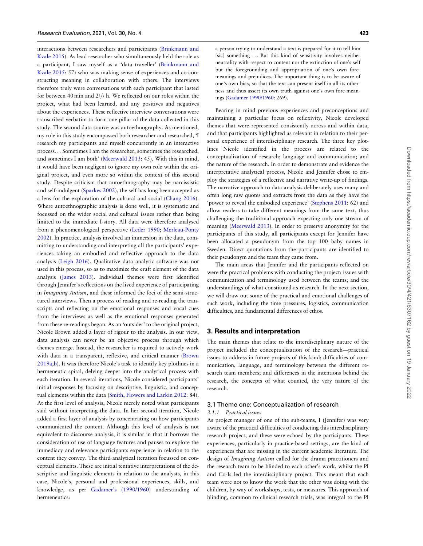interactions between researchers and participants (Brinkmann and Kvale 2015). As lead researcher who simultaneously held the role as a participant, I saw myself as a 'data traveller' (Brinkmann and Kvale 2015: 57) who was making sense of experiences and co-constructing meaning in collaboration with others. The interviews therefore truly were conversations with each participant that lasted for between 40 min and  $21/2$  h. We reflected on our roles within the project, what had been learned, and any positives and negatives about the experiences. These reflective interview conversations were transcribed verbatim to form one pillar of the data collected in this study. The second data source was autoethnography. As mentioned, my role in this study encompassed both researcher and researched, 'I research my participants and myself concurrently in an interactive process... Sometimes I am the researcher, sometimes the researched, and sometimes I am both' (Meerwald 2013: 45). With this in mind, it would have been negligent to ignore my own role within the original project, and even more so within the context of this second study. Despite criticism that autoethnography may be narcissistic and self-indulgent (Sparkes 2002), the self has long been accepted as a lens for the exploration of the cultural and social (Chang 2016). Where autoethnographic analysis is done well, it is systematic and focussed on the wider social and cultural issues rather than being limited to the immediate I-story. All data were therefore analysed from a phenomenological perspective (Leder 1990; Merleau-Ponty 2002). In practice, analysis involved an immersion in the data, committing to understanding and interpreting all the participants' experiences taking an embodied and reflective approach to the data analysis (Leigh 2016). Qualitative data analytic software was not used in this process, so as to maximize the craft element of the data analysis (James 2013). Individual themes were first identified through Jennifer's reflections on the lived experience of participating in Imagining Autism, and these informed the foci of the semi-structured interviews. Then a process of reading and re-reading the transcripts and reflecting on the emotional responses and vocal cues from the interviews as well as the emotional responses generated from these re-readings began. As an 'outsider' to the original project, Nicole Brown added a layer of rigour to the analysis. In our view, data analysis can never be an objective process through which themes emerge. Instead, the researcher is required to actively work with data in a transparent, reflexive, and critical manner (Brown 2019a,b). It was therefore Nicole's task to identify key plotlines in a hermeneutic spiral, delving deeper into the analytical process with each iteration. In several iterations, Nicole considered participants' initial responses by focusing on descriptive, linguistic, and conceptual elements within the data (Smith, Flowers and Larkin 2012: 84). At the first level of analysis, Nicole merely noted what participants said without interpreting the data. In her second iteration, Nicole added a first layer of analysis by concentrating on how participants communicated the content. Although this level of analysis is not equivalent to discourse analysis, it is similar in that it borrows the consideration of use of language features and pauses to explore the immediacy and relevance participants experience in relation to the content they convey. The third analytical iteration focussed on conceptual elements. These are initial tentative interpretations of the descriptive and linguistic elements in relation to the analysts, in this case, Nicole's, personal and professional experiences, skills, and knowledge, as per Gadamer's (1990/1960) understanding of hermeneutics:

a person trying to understand a text is prepared for it to tell him [sic] something ... But this kind of sensitivity involves neither neutrality with respect to content nor the extinction of one's self but the foregrounding and appropriation of one's own foremeanings and prejudices. The important thing is to be aware of one's own bias, so that the text can present itself in all its otherness and thus assert its own truth against one's own fore-meanings (Gadamer 1990/1960: 269).

Bearing in mind previous experiences and preconceptions and maintaining a particular focus on reflexivity, Nicole developed themes that were represented consistently across and within data, and that participants highlighted as relevant in relation to their personal experience of interdisciplinary research. The three key plotlines Nicole identified in the process are related to the conceptualization of research; language and communication; and the nature of the research. In order to demonstrate and evidence the interpretative analytical process, Nicole and Jennifer chose to employ the strategies of a reflective and narrative write-up of findings. The narrative approach to data analysis deliberately uses many and often long raw quotes and extracts from the data as they have the 'power to reveal the embodied experience' (Stephens 2011: 62) and allow readers to take different meanings from the same text, thus challenging the traditional approach expecting only one stream of meaning (Meerwald 2013). In order to preserve anonymity for the participants of this study, all participants except for Jennifer have been allocated a pseudonym from the top 100 baby names in Sweden. Direct quotations from the participants are identified to their pseudonym and the team they came from.

The main areas that Jennifer and the participants reflected on were the practical problems with conducting the project; issues with communication and terminology used between the teams; and the understandings of what constituted as research. In the next section, we will draw out some of the practical and emotional challenges of such work, including the time pressures, logistics, communication difficulties, and fundamental differences of ethos.

#### 3. Results and interpretation

The main themes that relate to the interdisciplinary nature of the project included the conceptualization of the research—practical issues to address in future projects of this kind; difficulties of communication, language, and terminology between the different research team members; and differences in the intentions behind the research, the concepts of what counted, the very nature of the research.

#### 3.1 Theme one: Conceptualization of research

#### 3.1.1 Practical issues

As project manager of one of the sub-teams, I (Jennifer) was very aware of the practical difficulties of conducting this interdisciplinary research project, and these were echoed by the participants. These experiences, particularly in practice-based settings, are the kind of experiences that are missing in the current academic literature. The design of Imagining Autism called for the drama practitioners and the research team to be blinded to each other's work, whilst the PI and Co-Is led the interdisciplinary project. This meant that each team were not to know the work that the other was doing with the children, by way of workshops, tests, or measures. This approach of blinding, common to clinical research trials, was integral to the PI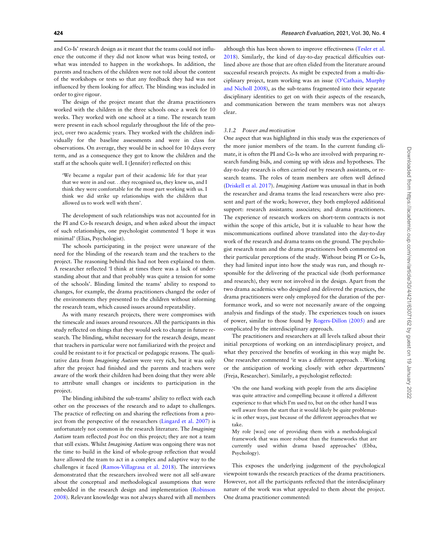and Co-Is' research design as it meant that the teams could not influence the outcome if they did not know what was being tested, or what was intended to happen in the workshops. In addition, the parents and teachers of the children were not told about the content of the workshops or tests so that any feedback they had was not influenced by them looking for affect. The blinding was included in order to give rigour.

The design of the project meant that the drama practitioners worked with the children in the three schools once a week for 10 weeks. They worked with one school at a time. The research team were present in each school regularly throughout the life of the project, over two academic years. They worked with the children individually for the baseline assessments and were in class for observations. On average, they would be in school for 10 days every term, and as a consequence they got to know the children and the staff at the schools quite well. I (Jennifer) reflected on this:

'We became a regular part of their academic life for that year that we were in and out...they recognised us, they knew us, and I think they were comfortable for the most part working with us. I think we did strike up relationships with the children that allowed us to work well with them'.

The development of such relationships was not accounted for in the PI and Co-Is research design, and when asked about the impact of such relationships, one psychologist commented 'I hope it was minimal' (Elias, Psychologist).

The schools participating in the project were unaware of the need for the blinding of the research team and the teachers to the project. The reasoning behind this had not been explained to them. A researcher reflected 'I think at times there was a lack of understanding about that and that probably was quite a tension for some of the schools'. Blinding limited the teams' ability to respond to changes, for example, the drama practitioners changed the order of the environments they presented to the children without informing the research team, which caused issues around repeatability.

As with many research projects, there were compromises with the timescale and issues around resources. All the participants in this study reflected on things that they would seek to change in future research. The blinding, whilst necessary for the research design, meant that teachers in particular were not familiarized with the project and could be resistant to it for practical or pedagogic reasons. The qualitative data from Imagining Autism were very rich, but it was only after the project had finished and the parents and teachers were aware of the work their children had been doing that they were able to attribute small changes or incidents to participation in the project.

The blinding inhibited the sub-teams' ability to reflect with each other on the processes of the research and to adapt to challenges. The practice of reflecting on and sharing the reflections from a project from the perspective of the researchers (Lingard et al. 2007) is unfortunately not common in the research literature. The Imagining Autism team reflected post hoc on this project; they are not a team that still exists. Whilst Imagining Autism was ongoing there was not the time to build in the kind of whole-group reflection that would have allowed the team to act in a complex and adaptive way to the challenges it faced (Ramos-Villagrasa et al. 2018). The interviews demonstrated that the researchers involved were not all self-aware about the conceptual and methodological assumptions that were embedded in the research design and implementation (Robinson 2008). Relevant knowledge was not always shared with all members

although this has been shown to improve effectiveness (Tesler et al. 2018). Similarly, the kind of day-to-day practical difficulties outlined above are those that are often elided from the literature around successful research projects. As might be expected from a multi-disciplinary project, team working was an issue (O'Cathain, Murphy and Nicholl 2008), as the sub-teams fragmented into their separate disciplinary identities to get on with their aspects of the research, and communication between the team members was not always clear.

#### 3.1.2 Power and motivation

One aspect that was highlighted in this study was the experiences of the more junior members of the team. In the current funding climate, it is often the PI and Co-Is who are involved with preparing research funding bids, and coming up with ideas and hypotheses. The day-to-day research is often carried out by research assistants, or research teams. The roles of team members are often well defined (Driskell et al. 2017). Imagining Autism was unusual in that in both the researcher and drama teams the lead researchers were also present and part of the work; however, they both employed additional support: research assistants; associates; and drama practitioners. The experience of research workers on short-term contracts is not within the scope of this article, but it is valuable to hear how the miscommunications outlined above translated into the day-to-day work of the research and drama teams on the ground. The psychologist research team and the drama practitioners both commented on their particular perceptions of the study. Without being PI or Co-Is, they had limited input into how the study was run, and though responsible for the delivering of the practical side (both performance and research), they were not involved in the design. Apart from the two drama academics who designed and delivered the practices, the drama practitioners were only employed for the duration of the performance work, and so were not necessarily aware of the ongoing analysis and findings of the study. The experiences touch on issues of power, similar to those found by Rogers-Dillon (2005) and are complicated by the interdisciplinary approach.

The practitioners and researchers at all levels talked about their initial perceptions of working on an interdisciplinary project, and what they perceived the benefits of working in this way might be. One researcher commented 'it was a different approach...Working or the anticipation of working closely with other departments' (Freja, Researcher). Similarly, a psychologist reflected:

'On the one hand working with people from the arts discipline was quite attractive and compelling because it offered a different experience to that which I'm used to, but on the other hand I was well aware from the start that it would likely be quite problematic in other ways, just because of the different approaches that we take.

My role [was] one of providing them with a methodological framework that was more robust than the frameworks that are currently used within drama based approaches' (Ebba, Psychology).

This exposes the underlying judgement of the psychological viewpoint towards the research practices of the drama practitioners. However, not all the participants reflected that the interdisciplinary nature of the work was what appealed to them about the project. One drama practitioner commented: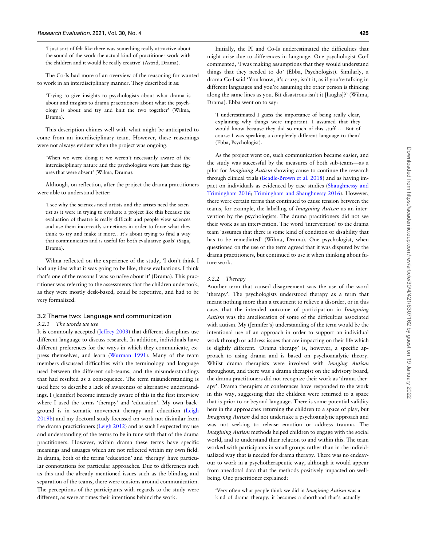'I just sort of felt like there was something really attractive about the sound of the work the actual kind of practitioner work with the children and it would be really creative' (Astrid, Drama).

The Co-Is had more of an overview of the reasoning for wanted to work in an interdisciplinary manner. They described it as:

'Trying to give insights to psychologists about what drama is about and insights to drama practitioners about what the psychology is about and try and knit the two together' (Wilma, Drama).

This description chimes well with what might be anticipated to come from an interdisciplinary team. However, these reasonings were not always evident when the project was ongoing.

'When we were doing it we weren't necessarily aware of the interdisciplinary nature and the psychologists were just these figures that were absent' (Wilma, Drama).

Although, on reflection, after the project the drama practitioners were able to understand better:

'I see why the sciences need artists and the artists need the scientist as it were in trying to evaluate a project like this because the evaluation of theatre is really difficult and people view sciences and use them incorrectly sometimes in order to force what they think to try and make it more...it's about trying to find a way that communicates and is useful for both evaluative goals' (Saga, Drama).

Wilma reflected on the experience of the study, 'I don't think I had any idea what it was going to be like, those evaluations. I think that's one of the reasons I was so naïve about it' (Drama). This practitioner was referring to the assessments that the children undertook, as they were mostly desk-based, could be repetitive, and had to be very formalized.

#### 3.2 Theme two: Language and communication

#### 3.2.1 The words we use

It is commonly accepted (Jeffrey 2003) that different disciplines use different language to discuss research. In addition, individuals have different preferences for the ways in which they communicate, express themselves, and learn (Wurman 1991). Many of the team members discussed difficulties with the terminology and language used between the different sub-teams, and the misunderstandings that had resulted as a consequence. The term misunderstanding is used here to describe a lack of awareness of alternative understandings. I (Jennifer) become intensely aware of this in the first interview where I used the terms 'therapy' and 'education'. My own background is in somatic movement therapy and education (Leigh 2019b) and my doctoral study focussed on work not disimilar from the drama practictioners (Leigh 2012) and as such I expected my use and understanding of the terms to be in tune with that of the drama practitioners. However, within drama these terms have specific meanings and usuages which are not reflected within my own field. In drama, both of the terms 'education' and 'therapy' have particular connotations for particular approaches. Due to differences such as this and the already mentioned issues such as the blinding and separation of the teams, there were tensions around communication. The perceptions of the participants with regards to the study were different, as were at times their intentions behind the work.

Initially, the PI and Co-Is underestimated the difficulties that might arise due to differences in language. One psychologist Co-I commented, 'I was making assumptions that they would understand things that they needed to do' (Ebba, Psychologist). Similarly, a drama Co-I said 'You know, it's crazy, isn't it, as if you're talking in different languages and you're assuming the other person is thinking along the same lines as you. Bit disastrous isn't it [laughs]?' (Wilma, Drama). Ebba went on to say:

'I underestimated I guess the importance of being really clear, explaining why things were important. I assumed that they would know because they did so much of this stuff ... But of course I was speaking a completely different language to them' (Ebba, Psychologist).

As the project went on, such communication became easier, and the study was successful by the measures of both sub-teams—as a pilot for Imagining Autism showing cause to continue the research through clinical trials (Beadle-Brown et al. 2018) and as having impact on individuals as evidenced by case studies (Shaughnessy and Trimingham 2016; Trimingham and Shaughnessy 2016). However, there were certain terms that continued to cause tension between the teams, for example, the labelling of Imagining Autism as an intervention by the psychologists. The drama practitioners did not see their work as an intervention. The word 'intervention' to the drama team 'assumes that there is some kind of condition or disability that has to be remediated' (Wilma, Drama). One psychologist, when questioned on the use of the term agreed that it was disputed by the drama practitioners, but continued to use it when thinking about future work.

#### 3.2.2 Therapy

Another term that caused disagreement was the use of the word 'therapy'. The psychologists understood therapy as a term that meant nothing more than a treatment to relieve a disorder, or in this case, that the intended outcome of participation in Imagining Autism was the amelioration of some of the difficulties associated with autism. My (Jennifer's) understanding of the term would be the intentional use of an approach in order to support an individual work through or address issues that are impacting on their life which is slightly different. 'Drama therapy' is, however, a specific approach to using drama and is based on psychoanalytic theory. Whilst drama therapists were involved with Imaging Autism throughout, and there was a drama therapist on the advisory board, the drama practitioners did not recognize their work as 'drama therapy'. Drama therapists at conferences have responded to the work in this way, suggesting that the children were returned to a space that is prior to or beyond language. There is some potential validity here in the approaches returning the children to a space of play, but Imagining Autism did not undertake a psychoanalytic approach and was not seeking to release emotion or address trauma. The Imagining Autism methods helped children to engage with the social world, and to understand their relation to and within this. The team worked with participants in small groups rather than in the individualized way that is needed for drama therapy. There was no endeavour to work in a psychotherapeutic way, although it would appear from anecdotal data that the methods positively impacted on wellbeing. One practitioner explained:

'Very often what people think we did in Imagining Autism was a kind of drama therapy, it becomes a shorthand that's actually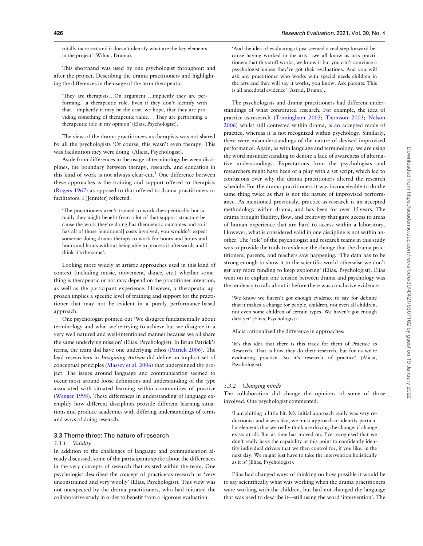totally incorrect and it doesn't identify what are the key elements in the project' (Wilma, Drama).

This shorthand was used by one psychologist throughout and after the project. Describing the drama practitioners and highlighting the differences in the usage of the term therapeutic:

'They are therapists...On argument....implicitly they are performing...a therapeutic role. Even if they don't identify with that...implicitly it may be the case, we hope, that they are providing something of therapeutic value... They are performing a therapeutic role in my opinion' (Elias, Psychologist).

The view of the drama practitioners as therapists was not shared by all the psychologists 'Of course, this wasn't even therapy. This was facilitation they were doing' (Alicia, Psychologist).

Aside from differences in the usage of terminology between disciplines, the boundary between therapy, research, and education in this kind of work is not always clear-cut.<sup>1</sup> One difference between these approaches is the training and support offered to therapists (Rogers 1967) as opposed to that offered to drama practitioners or facilitators. I (Jennifer) reflected:

'The practitioners aren't trained to work therapeutically but actually they might benefit from a lot of that support structure because the work they're doing has therapeutic outcomes and so it has all of those [emotional] costs involved, you wouldn't expect someone doing drama therapy to work for hours and hours and hours and hours without being able to process it afterwards and I think it's the same'.

Looking more widely at artistic approaches used in this kind of context (including music, movement, dance, etc.) whether something is therapeutic or not may depend on the practitioner intention, as well as the participant experience. However, a therapeutic approach implies a specific level of training and support for the practitioner that may not be evident in a purely performance-based approach.

One psychologist pointed out 'We disagree fundamentally about terminology and what we're trying to achieve but we disagree in a very well natured and well-intentioned manner because we all share the same underlying mission' (Elias, Psychologist). In Brian Patrick's terms, the team did have one underlying ethos (Patrick 2006). The lead researchers in Imagining Autism did define an implicit set of conceptual principles (Massey et al. 2006) that underpinned the project. The issues around language and communication seemed to occur most around loose definitions and understanding of the type associated with situated learning within communities of practice (Wenger 1998). These differences in understanding of language exemplify how different disciplines provide different learning situations and produce academics with differing understandings of terms and ways of doing research.

#### 3.3 Theme three: The nature of research

#### 3.3.1 Validity

In addition to the challenges of language and communication already discussed, some of the participants spoke about the differences in the very concepts of research that existed within the team. One psychologist described the concept of practice-as-research as 'very unconstrained and very woolly' (Elias, Psychologist). This view was not unexpected by the drama practitioners, who had initiated the collaborative study in order to benefit from a rigorous evaluation.

'And the idea of evaluating it just seemed a real step forward because having worked in the arts...we all know as arts practitioners that this stuff works, we know it but you can't convince a psychologist unless they've got their evaluations. And you will ask any practitioner who works with special needs children in the arts and they will say it works, you know. Ask parents. This is all anecdotal evidence' (Astrid, Drama).

The psychologists and drama practitioners had different understandings of what constituted research. For example, the idea of practice-as-research (Trimingham 2002; Thomson 2003; Nelson 2006) whilst still contested within drama, is an accepted mode of practice, whereas it is not recognized within psychology. Similarly, there were misunderstandings of the nature of devised improvised performance. Again, as with language and terminology, we are using the word misunderstanding to denote a lack of awareness of alternative understandings. Expectations from the psychologists and researchers might have been of a play with a set script, which led to confusions over why the drama practitioners altered the research schedule. For the drama practitioners it was inconceivable to do the same thing twice as that is not the nature of improvised performance. As mentioned previously, practice-as-research is an accepted methodology within drama, and has been for over 15 years. The drama brought fluidity, flow, and creativity that gave access to areas of human experience that are hard to access within a laboratory. However, what is considered valid in one discipline is not within another. The 'role' of the psychologist and research teams in this study was to provide the tools to evidence the change that the drama practitioners, parents, and teachers saw happening. 'The data has to be strong enough to show it to the scientific world otherwise we don't get any more funding to keep exploring' (Elias, Psychologist). Elias went on to explain one tension between drama and psychology was the tendency to talk about it before there was conclusive evidence.

'We know we haven't got enough evidence to say for definite that it makes a change for people, children, not even all children, not even some children of certain types. We haven't got enough data yet' (Elias, Psychologist).

Alicia rationalized the difference in approaches:

'It's this idea that there is this track for them of Practice as Research. That is how they do their research, but for us we're evaluating practice. So it's research of practice' (Alicia, Psychologist).

#### 3.3.2 Changing minds

The collaboration did change the opinions of some of those involved. One psychologist commented:

'I am shifting a little bit. My initial approach really was very reductionist and it was like, we must approach or identify particular elements that we really think are driving the change, if change exists at all. But as time has moved on, I've recognised that we don't really have the capability at this point to confidently identify individual drivers that we then control for, if you like, in the next day. We might just have to take the intervention holistically as it is' (Elias, Psychologist).

Elias had changed ways of thinking on how possible it would be to say scientifically what was working when the drama practitioners were working with the children, but had not changed the language that was used to describe it—still using the word 'intervention'. The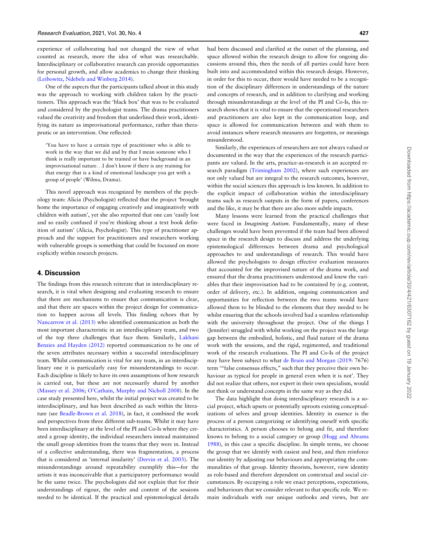experience of collaborating had not changed the view of what counted as research, more the idea of what was researchable. Interdisciplinary or collaborative research can provide opportunities for personal growth, and allow academics to change their thinking (Leibowitz, Ndebele and Winberg 2014).

One of the aspects that the participants talked about in this study was the approach to working with children taken by the practitioners. This approach was the 'black box' that was to be evaluated and considered by the psychologist teams. The drama practitioners valued the creativity and freedom that underlined their work, identifying its nature as improvisational performance, rather than therapeutic or an intervention. One reflected:

'You have to have a certain type of practitioner who is able to work in the way that we did and by that I mean someone who I think is really important to be trained or have background in an improvisational nature...I don't know if there is any training for that energy that is a kind of emotional landscape you get with a group of people' (Wilma, Drama).

This novel approach was recognized by members of the psychology team: Alicia (Psychologist) reflected that the project 'brought home the importance of engaging creatively and imaginatively with children with autism', yet she also reported that one can 'easily lost and so easily confused if you're thinking about a text book definition of autism' (Alicia, Psychologist). This type of practitioner approach and the support for practitioners and researchers working with vulnerable groups is something that could be focussed on more explicitly within research projects.

#### 4. Discussion

The findings from this research reiterate that in interdisciplinary research, it is vital when designing and evaluating research to ensure that there are mechanisms to ensure that communication is clear, and that there are spaces within the project design for communication to happen across all levels. This finding echoes that by Nancarrow et al. (2013) who identified communication as both the most important characteristic in an interdisciplinary team, and two of the top three challenges that face them. Similarly, Lakhani Benzies and Hayden (2012) reported communication to be one of the seven attributes necessary within a successful interdisciplinary team. Whilst communication is vital for any team, in an interdisciplinary one it is particularly easy for misunderstandings to occur. Each discipline is likely to have its own assumptions of how research is carried out, but these are not necessarily shared by another (Massey et al. 2006; O'Cathain, Murphy and Nicholl 2008). In the case study presented here, whilst the initial project was created to be interdisciplinary, and has been described as such within the literature (see Beadle-Brown et al. 2018), in fact, it combined the work and perspectives from three different sub-teams. Whilst it may have been interdisciplinary at the level of the PI and Co-Is where they created a group identity, the individual researchers instead maintained the small group identities from the teams that they were in. Instead of a collective understanding, there was fragmentation, a process that is considered as 'internal insularity' (Dervin et al. 2003). The misunderstandings around repeatability exemplify this—for the artists it was inconceivable that a participatory performance would be the same twice. The psychologists did not explain that for their understandings of rigour, the order and content of the sessions needed to be identical. If the practical and epistemological details

had been discussed and clarified at the outset of the planning, and space allowed within the research design to allow for ongoing discussions around this, then the needs of all parties could have been built into and accommodated within this research design. However, in order for this to occur, there would have needed to be a recognition of the disciplinary differences in understandings of the nature and concepts of research, and in addition to clarifying and working through misunderstandings at the level of the PI and Co-Is, this research shows that it is vital to ensure that the operational researchers and practitioners are also kept in the communication loop, and space is allowed for communication between and with them to avoid instances where research measures are forgotten, or meanings misunderstood.

Similarly, the experiences of researchers are not always valued or documented in the way that the experiences of the research participants are valued. In the arts, practice-as-research is an accepted research paradigm (Trimingham 2002), where such experiences are not only valued but are integral to the research outcomes, however, within the social sciences this approach is less known. In addition to the explicit impact of collaboration within the interdisciplinary teams such as research outputs in the form of papers, conferences and the like, it may be that there are also more subtle impacts.

Many lessons were learned from the practical challenges that were faced in Imagining Autism. Fundamentally, many of these challenges would have been prevented if the team had been allowed space in the research design to discuss and address the underlying epistemological differences between drama and psychological approaches to and understandings of research. This would have allowed the psychologists to design effective evaluation measures that accounted for the improvised nature of the drama work, and ensured that the drama practitioners understood and knew the variables that their improvisation had to be contained by (e.g. content, order of delivery, etc.). In addition, ongoing communication and opportunities for reflection between the two teams would have allowed them to be blinded to the elements that they needed to be whilst ensuring that the schools involved had a seamless relationship with the university throughout the project. One of the things I (Jennifer) struggled with whilst working on the project was the large gap between the embodied, holistic, and fluid nature of the drama work with the sessions, and the rigid, regimented, and traditional work of the research evaluations. The PI and Co-Is of the project may have been subject to what de Bruin and Morgan (2019: 7676) term '"false consensus effects," such that they perceive their own behaviour as typical for people in general even when it is not'. They did not realize that others, not expert in their own specialism, would not think or understand concepts in the same way as they did.

The data highlight that doing interdisciplinary research is a social project, which upsets or potentially uproots existing conceptualizations of selves and group identities. Identity in essence is the process of a person categorizing or identifying oneself with specific characteristics. A person chooses to belong and fit, and therefore knows to belong to a social category or group (Hogg and Abrams 1988), in this case a specific discipline. In simple terms, we choose the group that we identify with easiest and best, and then reinforce our identity by adjusting our behaviours and appropriating the communalities of that group. Identity theorists, however, view identity as role-based and therefore dependent on contextual and social circumstances. By occupying a role we enact perceptions, expectations, and behaviours that we consider relevant to that specific role. We remain individuals with our unique outlooks and views, but are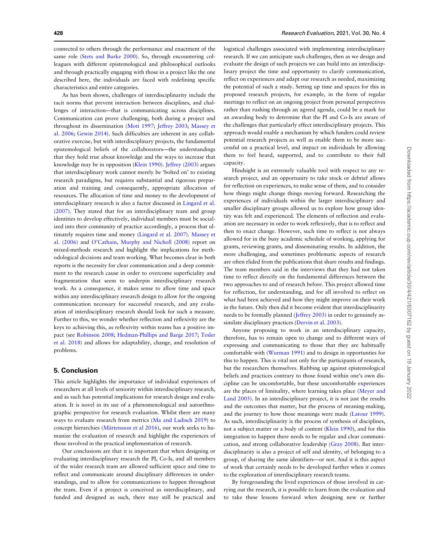connected to others through the performance and enactment of the same role (Stets and Burke 2000). So, through encountering colleagues with different epistemological and philosophical outlooks and through practically engaging with those in a project like the one described here, the individuals are faced with redefining specific characteristics and entire categories.

As has been shown, challenges of interdisciplinarity include the tacit norms that prevent interaction between disciplines, and challenges of interaction—that is communicating across disciplines. Communication can prove challenging, both during a project and throughout its dissemination (Moti 1997; Jeffrey 2003; Massey et al. 2006; Gewin 2014). Such difficulties are inherent in any collaborative exercise, but with interdisciplinary projects, the fundamental epistemological beliefs of the collaborators—the understandings that they hold true about knowledge and the ways to increase that knowledge may be in opposition (Klein 1990). Jeffrey (2003) argues that interdisciplinary work cannot merely be 'bolted on' to existing research paradigms, but requires substantial and rigorous preparation and training and consequently, appropriate allocation of resources. The allocation of time and money to the development of interdisciplinary research is also a factor discussed in Lingard et al. (2007). They stated that for an interdisciplinary team and group identities to develop effectively, individual members must be socialized into their community of practice accordingly, a process that ultimately requires time and money (Lingard et al. 2007). Massey et al. (2006) and O'Cathain, Murphy and Nicholl (2008) report on mixed-methods research and highlight the implications for methodological decisions and team working. What becomes clear in both reports is the necessity for clear communication and a deep commitment to the research cause in order to overcome superficiality and fragmentation that seem to underpin interdisciplinary research work. As a consequence, it makes sense to allow time and space within any interdisciplinary research design to allow for the ongoing communication necessary for successful research, and any evaluation of interdisciplinary research should look for such a measure. Further to this, we wonder whether reflection and reflexivity are the keys to achieving this, as reflexivity within teams has a positive impact (see Robinson 2008; Hedman-Phillips and Barge 2017; Tesler et al. 2018) and allows for adaptability, change, and resolution of problems.

#### 5. Conclusion

This article highlights the importance of individual experiences of researchers at all levels of seniority within interdisciplinary research, and as such has potential implications for research design and evaluation. It is novel in its use of a phenomenological and autoethnographic perspective for research evaluation. Whilst there are many ways to evaluate research from metrics (Ma and Ladisch 2019) to concept hierarchies (Mårtensson et al 2016), our work seeks to humanize the evaluation of research and highlight the experiences of those involved in the practical implementation of research.

Our conclusions are that it is important that when designing or evaluating interdisciplinary research the PI, Co-Is, and all members of the wider research team are allowed sufficient space and time to reflect and communicate around disciplinary differences in understandings, and to allow for communications to happen throughout the team. Even if a project is conceived as interdisciplinary, and funded and designed as such, there may still be practical and logistical challenges associated with implementing interdisciplinary research. If we can anticipate such challenges, then as we design and evaluate the design of such projects we can build into an interdisciplinary project the time and opportunity to clarify communication, reflect on experiences and adapt our research as needed, maximizing the potential of such a study. Setting up time and spaces for this in proposed research projects, for example, in the form of regular meetings to reflect on an ongoing project from personal perspectives rather than rushing through an agreed agenda, could be a mark for an awarding body to determine that the PI and Co-Is are aware of the challenges that particularly effect interdisciplinary projects. This approach would enable a mechanism by which funders could review potential research projects as well as enable them to be more successful on a practical level, and impact on individuals by allowing them to feel heard, supported, and to contribute to their full capacity.

Hindsight is an extremely valuable tool with respect to any research project, and an opportunity to take stock or debrief allows for reflection on experiences, to make sense of them, and to consider how things might change things moving forward. Researching the experiences of individuals within the larger interdisciplinary and smaller disciplinary groups allowed us to explore how group identity was felt and experienced. The elements of reflection and evaluation are necessary in order to work reflexively, that is to reflect and then to enact change. However, such time to reflect is not always allowed for in the busy academic schedule of working, applying for grants, reviewing grants, and disseminating results. In addition, the more challenging, and sometimes problematic aspects of research are often elided from the publications that share results and findings. The team members said in the interviews that they had not taken time to reflect directly on the fundamental differences between the two approaches to and of research before. This project allowed time for reflection, for understanding, and for all involved to reflect on what had been achieved and how they might improve on their work in the future. Only then did it become evident that interdisciplinarity needs to be formally planned (Jeffrey 2003) in order to genuinely assimilate disciplinary practices (Dervin et al. 2003).

Anyone proposing to work in an interdisciplinary capacity, therefore, has to remain open to change and to different ways of expressing and communicating to those that they are habitually comfortable with (Wurman 1991) and to design in opportunties for this to happen. This is vital not only for the participants of research, but the researchers themselves. Rubbing up against epistemological beliefs and practices contrary to those found within one's own discipline can be uncomfortable, but these uncomfortable experiences are the places of liminality, where learning takes place (Meyer and Land 2005). In an interdisciplinary project, it is not just the results and the outcomes that matter, but the process of meaning-making, and the journey to how those meanings were made (Latour 1999). As such, interdisciplinarity is the process of synthesis of disciplines, not a subject matter or a body of content (Klein 1990), and for this integration to happen there needs to be regular and clear communication, and strong collaborative leadership (Gray 2008). But interdisciplinarity is also a project of self and identity, of belonging to a group, of sharing the same identifiers—or not. And it is this aspect of work that certainly needs to be developed further when it comes to the exploration of interdisciplinary research teams.

By foregrounding the lived experiences of those involved in carrying out the research, it is possible to learn from the evaluation and to take these lessons forward when designing new or further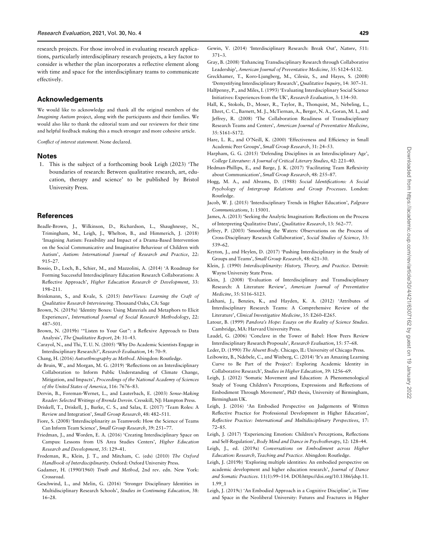research projects. For those involved in evaluating research applications, particularly interdisciplinary research projects, a key factor to consider is whether the plan incorporates a reflective element along with time and space for the interdisciplinary teams to communicate effectively.

#### Acknowledgements

We would like to acknowledge and thank all the original members of the Imagining Autism project, along with the participants and their families. We would also like to thank the editorial team and our reviewers for their time and helpful feedback making this a much stronger and more cohesive article.

Conflict of interest statement. None declared.

#### Notes

1. This is the subject of a forthcoming book Leigh (2023) 'The boundaries of research: Between qualitative research, art, education, therapy and science' to be published by Bristol University Press.

#### **References**

- Beadle-Brown, J., Wilkinson, D., Richardson, L., Shaughnessy, N., Trimingham, M., Leigh, J., Whelton, B., and Himmerich, J. (2018) 'Imagining Autism: Feasibility and Impact of a Drama-Based Intervention on the Social Communicative and Imaginative Behaviour of Children with Autism', Autism: International Journal of Research and Practice, 22: 915–27.
- Bossio, D., Loch, B., Schier, M., and Mazzolini, A. (2014) 'A Roadmap for Forming Successful Interdisciplinary Education Research Collaborations: A Reflective Approach', Higher Education Research & Development, 33: 198–211.
- Brinkmann, S., and Kvale, S. (2015) InterViews: Learning the Craft of Qualitative Research Interviewing. Thousand Oaks, CA: Sage
- Brown, N. (2019a) 'Identity Boxes: Using Materials and Metaphors to Elicit Experiences', International Journal of Social Research Methodology, 22: 487–501.
- Brown, N. (2019b) '"Listen to Your Gut": a Reflexive Approach to Data Analysis', The Qualitative Report, 24: 31–43.
- Carayol, N., and Thi, T. U. N. (2005) 'Why Do Academic Scientists Engage in Interdisciplinary Research?', Research Evaluation, 14: 70–9.
- Chang, H. (2016) Autoethnography as Method. Abingdon: Routledge.
- de Bruin, W., and Morgan, M. G. (2019) 'Reflections on an Interdisciplinary Collaboration to Inform Public Understanding of Climate Change, Mitigation, and Impacts', Proceedings of the National Academy of Sciences of the United States of America, 116: 7676–83.
- Dervin, B., Foreman-Wernet, L., and Lauterbach, E. (2003) Sense-Making Reader: Selected Writings of Brenda Dervin. Cresskill, NJ: Hampton Press.
- Driskell, T., Driskell, J., Burke, C. S., and Salas, E. (2017) 'Team Roles: A Review and Integration', Small Group Research, 48: 482–511.
- Fiore, S. (2008) 'Interdisciplinarity as Teamwork: How the Science of Teams Can Inform Team Science', Small Group Research, 39: 251–77.
- Friedman, J., and Worden, E. A. (2016) 'Creating Interdisciplinary Space on Campus: Lessons from US Area Studies Centers', Higher Education Research and Development, 35: 129–41.
- Frodeman, R., Klein, J. T., and Mitcham, C. (eds) (2010) The Oxford Handbook of Interdisciplinarity. Oxford: Oxford University Press.
- Gadamer, H. (1990/1960) Truth and Method, 2nd rev. edn. New York: Crossroad.
- Geschwind, L., and Melin, G. (2016) 'Stronger Disciplinary Identities in Multidisciplinary Research Schools', Studies in Continuing Education, 38: 16–28.

Gray, B. (2008) 'Enhancing Transdisciplinary Research through Collaborative Leadership', American Journal of Preventative Medicine, 35: S124–S132.

371–3.

- Greckhamer, T., Koro-Ljungberg, M., Cilesiz, S., and Hayes, S. (2008) 'Demystifying Interdisciplinary Research', Qualitative Inquiry, 14: 307–31.
- Halfpenny, P., and Miles, I. (1993) 'Evaluating Interdisciplinary Social Science Initiatives: Experiences from the UK', Research Evaluation, 3: 134–50.
- Hall, K., Stokols, D., Moser, R., Taylor, B., Thonquist, M., Nebeling, L., Ehret, C. C., Barnett, M. J., McTiernan, A., Berger, N. A., Goran, M. I., and Jeffrey, R. (2008) 'The Collaboration Readiness of Transdisciplinary Research Teams and Centers', American Journal of Preventative Medicine, 35: S161–S172.
- Hare, L. R., and O'Neill, K. (2000) 'Effectiveness and Efficiency in Small Academic Peer Groups', Small Group Research, 31: 24–53.
- Harpham, G. G. (2015) 'Defending Disciplines in an Interdisciplinary Age', College Literature: A Journal of Critical Literary Studies, 42: 221–40.
- Hedman-Phillips, E., and Barge, J. K. (2017) 'Facilitating Team Reflexivity about Communication', Small Group Research, 48: 255–87.
- Hogg, M. A., and Abrams, D. (1988) Social Identifications: A Social Psychology of Intergroup Relations and Group Processes. London: Routledge.
- Jacob, W. J. (2015) 'Interdisciplinary Trends in Higher Education', Palgrave Communications, 1: 15001.
- James, A. (2013) 'Seeking the Analytic Imagination: Reflections on the Process of Interpreting Qualitative Data', Qualitative Research, 13: 562–77.
- Jeffrey, P. (2003) 'Smoothing the Waters: Observations on the Process of Cross-Disciplinary Research Collaboration', Social Studies of Science, 33: 539–62.
- Keyton, J., and Heylen, D. (2017) 'Pushing Interdisciplinary in the Study of Groups and Teams', Small Group Research, 48: 621–30.
- Klein, J. (1990) Interdisciplinarity: History, Theory, and Practice. Detroit: Wayne University State Press.
- Klein, J. (2008) 'Evaluation of Interdisciplinary and Transdisciplinary Research: A Literature Review', American Journal of Preventative Medicine, 35: S116–S123.
- Lakhani, J., Benzies, K., and Hayden, K. A. (2012) 'Attributes of Interdisciplinary Research Teams: A Comprehensive Review of the Literature', Clinical Investigative Medicine, 35: E260–E265.
- Latour, B. (1999) Pandora's Hope: Essays on the Reality of Science Studies. Cambridge, MA: Harvard University Press.
- Laudel, G. (2006) 'Conclave in the Tower of Babel: How Peers Review Interdisciplinary Research Proposals', Research Evaluation, 15: 57–68.
- Leder, D. (1990) The Absent Body. Chicago, IL: University of Chicago Press. Leibowitz, B., Ndebele, C., and Winberg, C. (2014) 'It's an Amazing Learning Curve to Be Part of the Project': Exploring Academic Identity in Collaborative Research', Studies in Higher Education, 39: 1256–69.
- Leigh, J. (2012) 'Somatic Movement and Education: A Phenomenological Study of Young Children's Perceptions, Expressions and Reflections of Embodiment Through Movement', PhD thesis, University of Birmingham, Birmingham UK.
- Leigh, J. (2016) 'An Embodied Perspective on Judgements of Written Reflective Practice for Professional Development in Higher Education', Reflective Practice: International and Multidisciplinary Perspectives, 17: 72–85.
- Leigh, J. (2017) 'Experiencing Emotion: Children's Perceptions, Reflections and Self-Regulation', Body Mind and Dance in Psychotherapy, 12: 128–44.
- Leigh, J., ed. (2019a) Conversations on Embodiment across Higher Education: Research, Teaching and Practice. Abingdon: Routledge.
- Leigh, J. (2019b) 'Exploring multiple identities: An embodied perspective on academic development and higher education research', Journal of Dance and Somatic Practices. 11(1):99–114. DOI:[https://doi.org/10.1386/jdsp.11.](https://doi.org/10.1386/jdsp.11.1.99_1) [1.99\\_1](https://doi.org/10.1386/jdsp.11.1.99_1)
- Leigh, J. (2019c) 'An Embodied Approach in a Cognitive Discipline', in Time and Space in the Neoliberal University: Futures and Fractures in Higher